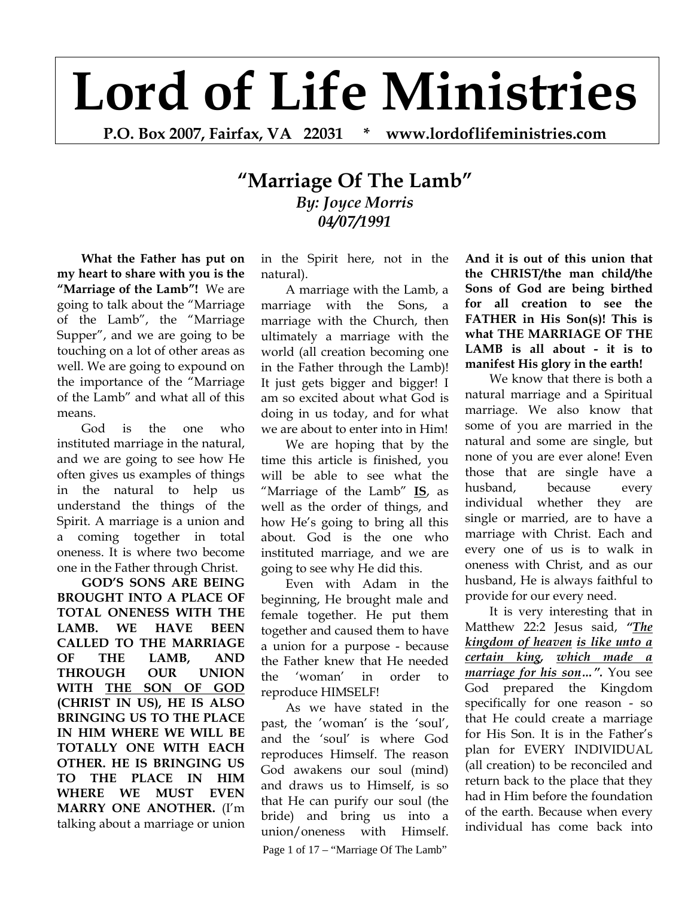## **Lord of Life Ministries**

**P.O. Box 2007, Fairfax, VA 22031 \* www.lordoflifeministries.com** 

## **"Marriage Of The Lamb"** *By: Joyce Morris 04/07/1991*

**What the Father has put on my heart to share with you is the "Marriage of the Lamb"!** We are going to talk about the "Marriage of the Lamb", the "Marriage Supper", and we are going to be touching on a lot of other areas as well. We are going to expound on the importance of the "Marriage of the Lamb" and what all of this means.

God is the one who instituted marriage in the natural, and we are going to see how He often gives us examples of things in the natural to help us understand the things of the Spirit. A marriage is a union and a coming together in total oneness. It is where two become one in the Father through Christ.

**GOD'S SONS ARE BEING BROUGHT INTO A PLACE OF TOTAL ONENESS WITH THE LAMB. WE HAVE BEEN CALLED TO THE MARRIAGE OF THE LAMB, AND THROUGH OUR UNION WITH THE SON OF GOD (CHRIST IN US), HE IS ALSO BRINGING US TO THE PLACE IN HIM WHERE WE WILL BE TOTALLY ONE WITH EACH OTHER. HE IS BRINGING US TO THE PLACE IN HIM WHERE WE MUST EVEN MARRY ONE ANOTHER.** (I'm talking about a marriage or union in the Spirit here, not in the natural).

A marriage with the Lamb, a marriage with the Sons, a marriage with the Church, then ultimately a marriage with the world (all creation becoming one in the Father through the Lamb)! It just gets bigger and bigger! I am so excited about what God is doing in us today, and for what we are about to enter into in Him!

We are hoping that by the time this article is finished, you will be able to see what the "Marriage of the Lamb" **IS**, as well as the order of things, and how He's going to bring all this about. God is the one who instituted marriage, and we are going to see why He did this.

Even with Adam in the beginning, He brought male and female together. He put them together and caused them to have a union for a purpose - because the Father knew that He needed the 'woman' in order to reproduce HIMSELF!

Page 1 of 17 – "Marriage Of The Lamb" As we have stated in the past, the 'woman' is the 'soul', and the 'soul' is where God reproduces Himself. The reason God awakens our soul (mind) and draws us to Himself, is so that He can purify our soul (the bride) and bring us into a union/oneness with Himself.

**And it is out of this union that the CHRIST/the man child/the Sons of God are being birthed for all creation to see the FATHER in His Son(s)! This is what THE MARRIAGE OF THE LAMB is all about - it is to manifest His glory in the earth!** 

We know that there is both a natural marriage and a Spiritual marriage. We also know that some of you are married in the natural and some are single, but none of you are ever alone! Even those that are single have a husband, because every individual whether they are single or married, are to have a marriage with Christ. Each and every one of us is to walk in oneness with Christ, and as our husband, He is always faithful to provide for our every need.

It is very interesting that in Matthew 22:2 Jesus said, *"The kingdom of heaven is like unto a certain king, which made a marriage for his son…".* You see God prepared the Kingdom specifically for one reason - so that He could create a marriage for His Son. It is in the Father's plan for EVERY INDIVIDUAL (all creation) to be reconciled and return back to the place that they had in Him before the foundation of the earth. Because when every individual has come back into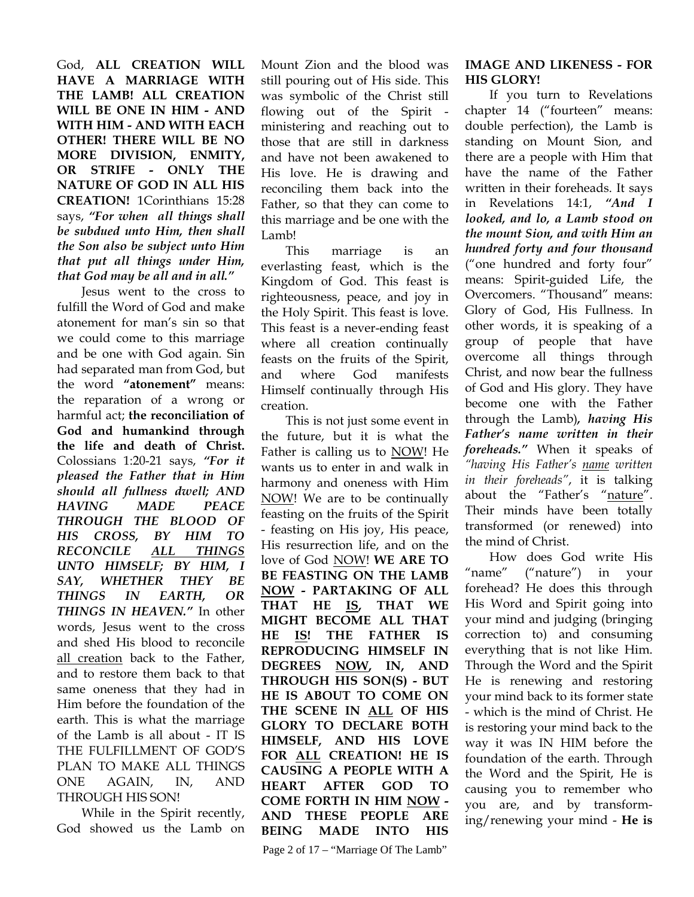God, **ALL CREATION WILL HAVE A MARRIAGE WITH THE LAMB! ALL CREATION WILL BE ONE IN HIM - AND WITH HIM - AND WITH EACH OTHER! THERE WILL BE NO MORE DIVISION, ENMITY, OR STRIFE - ONLY THE NATURE OF GOD IN ALL HIS CREATION!** 1Corinthians 15:28 says, *"For when all things shall be subdued unto Him, then shall the Son also be subject unto Him that put all things under Him, that God may be all and in all."* 

Jesus went to the cross to fulfill the Word of God and make atonement for man's sin so that we could come to this marriage and be one with God again. Sin had separated man from God, but the word **"atonement"** means: the reparation of a wrong or harmful act; **the reconciliation of God and humankind through the life and death of Christ.** Colossians 1:20-21 says, *"For it pleased the Father that in Him should all fullness dwell; AND HAVING MADE PEACE THROUGH THE BLOOD OF HIS CROSS, BY HIM TO RECONCILE ALL THINGS UNTO HIMSELF; BY HIM, I SAY, WHETHER THEY BE THINGS IN EARTH, OR THINGS IN HEAVEN."* In other words, Jesus went to the cross and shed His blood to reconcile all creation back to the Father, and to restore them back to that same oneness that they had in Him before the foundation of the earth. This is what the marriage of the Lamb is all about - IT IS THE FULFILLMENT OF GOD'S PLAN TO MAKE ALL THINGS ONE AGAIN, IN, AND THROUGH HIS SON!

While in the Spirit recently, God showed us the Lamb on Mount Zion and the blood was still pouring out of His side. This was symbolic of the Christ still flowing out of the Spirit ministering and reaching out to those that are still in darkness and have not been awakened to His love. He is drawing and reconciling them back into the Father, so that they can come to this marriage and be one with the Lamb!

This marriage is an everlasting feast, which is the Kingdom of God. This feast is righteousness, peace, and joy in the Holy Spirit. This feast is love. This feast is a never-ending feast where all creation continually feasts on the fruits of the Spirit, and where God manifests Himself continually through His creation.

This is not just some event in the future, but it is what the Father is calling us to NOW! He wants us to enter in and walk in harmony and oneness with Him NOW! We are to be continually feasting on the fruits of the Spirit - feasting on His joy, His peace, His resurrection life, and on the love of God NOW! **WE ARE TO BE FEASTING ON THE LAMB NOW - PARTAKING OF ALL THAT HE IS, THAT WE MIGHT BECOME ALL THAT HE IS! THE FATHER IS REPRODUCING HIMSELF IN DEGREES NOW, IN, AND THROUGH HIS SON(S) - BUT HE IS ABOUT TO COME ON THE SCENE IN ALL OF HIS GLORY TO DECLARE BOTH HIMSELF, AND HIS LOVE FOR ALL CREATION! HE IS CAUSING A PEOPLE WITH A HEART AFTER GOD TO COME FORTH IN HIM NOW - AND THESE PEOPLE ARE BEING MADE INTO HIS** 

## **IMAGE AND LIKENESS - FOR HIS GLORY!**

If you turn to Revelations chapter 14 ("fourteen" means: double perfection), the Lamb is standing on Mount Sion, and there are a people with Him that have the name of the Father written in their foreheads. It says in Revelations 14:1, *"And I looked, and lo, a Lamb stood on the mount Sion, and with Him an hundred forty and four thousand*  ("one hundred and forty four" means: Spirit-guided Life, the Overcomers. "Thousand" means: Glory of God, His Fullness. In other words, it is speaking of a group of people that have overcome all things through Christ, and now bear the fullness of God and His glory. They have become one with the Father through the Lamb)*, having His Father's name written in their foreheads."* When it speaks of *"having His Father's name written in their foreheads"*, it is talking about the "Father's "nature". Their minds have been totally transformed (or renewed) into the mind of Christ.

How does God write His "name" ("nature") in your forehead? He does this through His Word and Spirit going into your mind and judging (bringing correction to) and consuming everything that is not like Him. Through the Word and the Spirit He is renewing and restoring your mind back to its former state - which is the mind of Christ. He is restoring your mind back to the way it was IN HIM before the foundation of the earth. Through the Word and the Spirit, He is causing you to remember who you are, and by transforming/renewing your mind - **He is**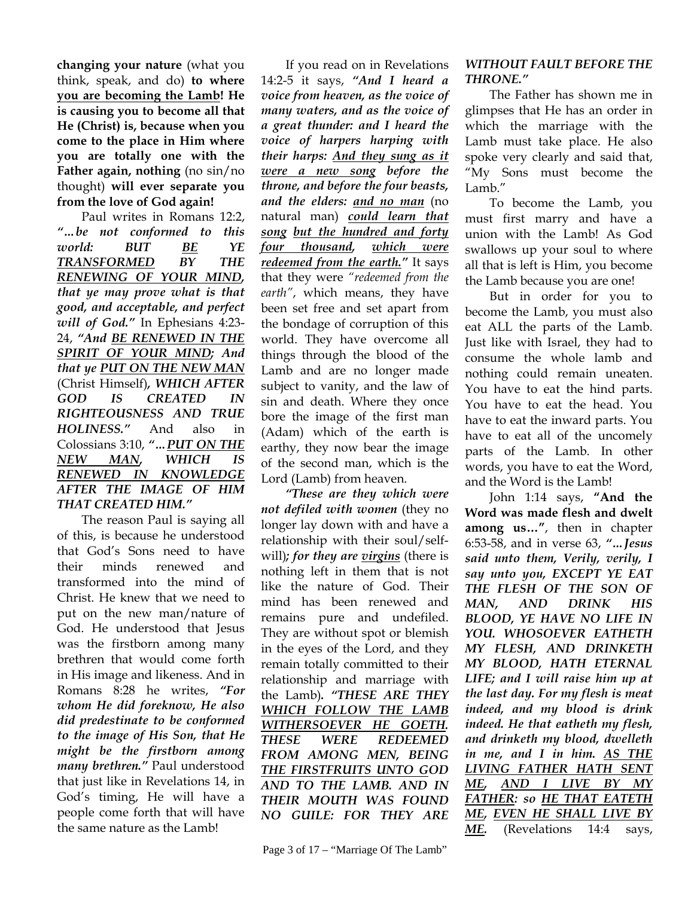**changing your nature** (what you think, speak, and do) **to where you are becoming the Lamb! He is causing you to become all that He (Christ) is, because when you come to the place in Him where you are totally one with the Father again, nothing** (no sin/no thought) **will ever separate you from the love of God again!** 

Paul writes in Romans 12:2, *"…be not conformed to this world: BUT BE YE TRANSFORMED BY THE RENEWING OF YOUR MIND, that ye may prove what is that good, and acceptable, and perfect will of God."* In Ephesians 4:23- 24, *"And BE RENEWED IN THE SPIRIT OF YOUR MIND; And that ye PUT ON THE NEW MAN* (Christ Himself)*, WHICH AFTER GOD IS CREATED IN RIGHTEOUSNESS AND TRUE HOLINESS."* And also in Colossians 3:10, *"…PUT ON THE NEW MAN, WHICH IS RENEWED IN KNOWLEDGE AFTER THE IMAGE OF HIM THAT CREATED HIM."* 

The reason Paul is saying all of this, is because he understood that God's Sons need to have their minds renewed and transformed into the mind of Christ. He knew that we need to put on the new man/nature of God. He understood that Jesus was the firstborn among many brethren that would come forth in His image and likeness. And in Romans 8:28 he writes, *"For whom He did foreknow, He also did predestinate to be conformed to the image of His Son, that He might be the firstborn among many brethren."* Paul understood that just like in Revelations 14, in God's timing, He will have a people come forth that will have the same nature as the Lamb!

If you read on in Revelations 14:2-5 it says, *"And I heard a voice from heaven, as the voice of many waters, and as the voice of a great thunder: and I heard the voice of harpers harping with their harps: And they sung as it were a new song before the throne, and before the four beasts, and the elders: and no man* (no natural man) *could learn that song but the hundred and forty four thousand, which were redeemed from the earth."* It says that they were *"redeemed from the earth"*, which means, they have been set free and set apart from the bondage of corruption of this world. They have overcome all things through the blood of the Lamb and are no longer made subject to vanity, and the law of sin and death. Where they once bore the image of the first man (Adam) which of the earth is earthy, they now bear the image of the second man, which is the Lord (Lamb) from heaven.

*"These are they which were not defiled with women* (they no longer lay down with and have a relationship with their soul/selfwill)*; for they are virgins* (there is nothing left in them that is not like the nature of God. Their mind has been renewed and remains pure and undefiled. They are without spot or blemish in the eyes of the Lord, and they remain totally committed to their relationship and marriage with the Lamb)*. "THESE ARE THEY WHICH FOLLOW THE LAMB WITHERSOEVER HE GOETH. THESE WERE REDEEMED FROM AMONG MEN, BEING THE FIRSTFRUITS UNTO GOD AND TO THE LAMB. AND IN THEIR MOUTH WAS FOUND NO GUILE: FOR THEY ARE* 

## *WITHOUT FAULT BEFORE THE THRONE."*

The Father has shown me in glimpses that He has an order in which the marriage with the Lamb must take place. He also spoke very clearly and said that, "My Sons must become the Lamb."

To become the Lamb, you must first marry and have a union with the Lamb! As God swallows up your soul to where all that is left is Him, you become the Lamb because you are one!

But in order for you to become the Lamb, you must also eat ALL the parts of the Lamb. Just like with Israel, they had to consume the whole lamb and nothing could remain uneaten. You have to eat the hind parts. You have to eat the head. You have to eat the inward parts. You have to eat all of the uncomely parts of the Lamb. In other words, you have to eat the Word, and the Word is the Lamb!

John 1:14 says, **"And the Word was made flesh and dwelt among us…"**, then in chapter 6:53-58, and in verse 63, *"…Jesus said unto them, Verily, verily, I say unto you, EXCEPT YE EAT THE FLESH OF THE SON OF MAN, AND DRINK HIS BLOOD, YE HAVE NO LIFE IN YOU. WHOSOEVER EATHETH MY FLESH, AND DRINKETH MY BLOOD, HATH ETERNAL LIFE; and I will raise him up at the last day. For my flesh is meat indeed, and my blood is drink indeed. He that eatheth my flesh, and drinketh my blood, dwelleth in me, and I in him. AS THE LIVING FATHER HATH SENT ME, AND I LIVE BY MY FATHER: so HE THAT EATETH ME, EVEN HE SHALL LIVE BY ME.* (Revelations 14:4 says,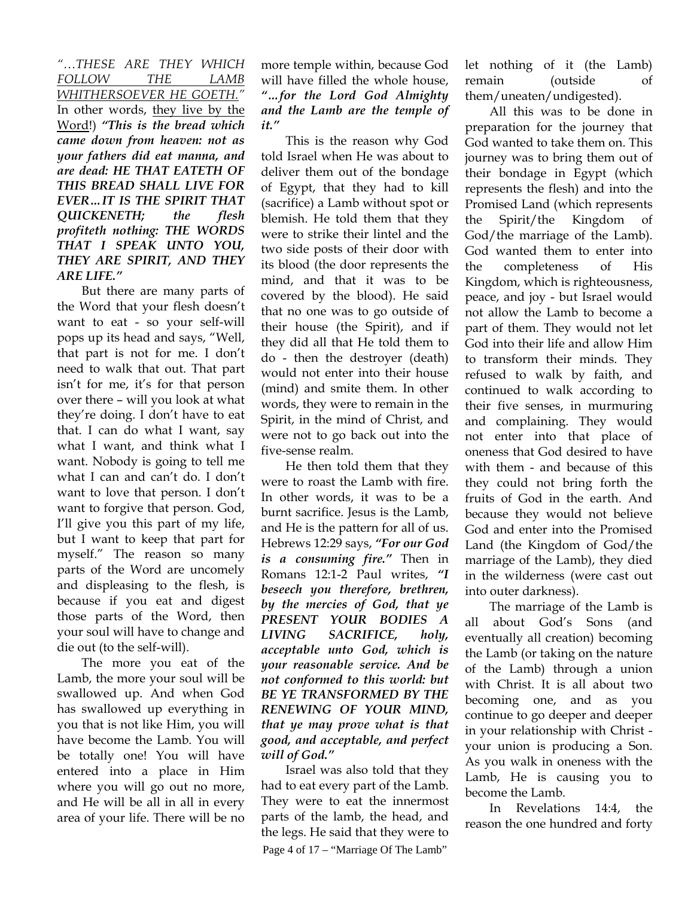*"…THESE ARE THEY WHICH FOLLOW THE LAMB WHITHERSOEVER HE GOETH."*  In other words, they live by the Word!) *"This is the bread which came down from heaven: not as your fathers did eat manna, and are dead: HE THAT EATETH OF THIS BREAD SHALL LIVE FOR EVER…IT IS THE SPIRIT THAT QUICKENETH; the flesh profiteth nothing: THE WORDS THAT I SPEAK UNTO YOU, THEY ARE SPIRIT, AND THEY ARE LIFE."* 

But there are many parts of the Word that your flesh doesn't want to eat - so your self-will pops up its head and says, "Well, that part is not for me. I don't need to walk that out. That part isn't for me, it's for that person over there – will you look at what they're doing. I don't have to eat that. I can do what I want, say what I want, and think what I want. Nobody is going to tell me what I can and can't do. I don't want to love that person. I don't want to forgive that person. God, I'll give you this part of my life, but I want to keep that part for myself." The reason so many parts of the Word are uncomely and displeasing to the flesh, is because if you eat and digest those parts of the Word, then your soul will have to change and die out (to the self-will).

The more you eat of the Lamb, the more your soul will be swallowed up. And when God has swallowed up everything in you that is not like Him, you will have become the Lamb. You will be totally one! You will have entered into a place in Him where you will go out no more, and He will be all in all in every area of your life. There will be no

more temple within, because God will have filled the whole house, *"…for the Lord God Almighty and the Lamb are the temple of it."* 

This is the reason why God told Israel when He was about to deliver them out of the bondage of Egypt, that they had to kill (sacrifice) a Lamb without spot or blemish. He told them that they were to strike their lintel and the two side posts of their door with its blood (the door represents the mind, and that it was to be covered by the blood). He said that no one was to go outside of their house (the Spirit), and if they did all that He told them to do - then the destroyer (death) would not enter into their house (mind) and smite them. In other words, they were to remain in the Spirit, in the mind of Christ, and were not to go back out into the five-sense realm.

He then told them that they were to roast the Lamb with fire. In other words, it was to be a burnt sacrifice. Jesus is the Lamb, and He is the pattern for all of us. Hebrews 12:29 says, *"For our God is a consuming fire."* Then in Romans 12:1-2 Paul writes, *"I beseech you therefore, brethren, by the mercies of God, that ye PRESENT YOUR BODIES A LIVING SACRIFICE, holy, acceptable unto God, which is your reasonable service. And be not conformed to this world: but BE YE TRANSFORMED BY THE RENEWING OF YOUR MIND, that ye may prove what is that good, and acceptable, and perfect will of God."* 

Page 4 of 17 – "Marriage Of The Lamb" Israel was also told that they had to eat every part of the Lamb. They were to eat the innermost parts of the lamb, the head, and the legs. He said that they were to

let nothing of it (the Lamb) remain (outside of them/uneaten/undigested).

All this was to be done in preparation for the journey that God wanted to take them on. This journey was to bring them out of their bondage in Egypt (which represents the flesh) and into the Promised Land (which represents the Spirit/the Kingdom of God/the marriage of the Lamb). God wanted them to enter into the completeness of His Kingdom, which is righteousness, peace, and joy - but Israel would not allow the Lamb to become a part of them. They would not let God into their life and allow Him to transform their minds. They refused to walk by faith, and continued to walk according to their five senses, in murmuring and complaining. They would not enter into that place of oneness that God desired to have with them - and because of this they could not bring forth the fruits of God in the earth. And because they would not believe God and enter into the Promised Land (the Kingdom of God/the marriage of the Lamb), they died in the wilderness (were cast out into outer darkness).

The marriage of the Lamb is all about God's Sons (and eventually all creation) becoming the Lamb (or taking on the nature of the Lamb) through a union with Christ. It is all about two becoming one, and as you continue to go deeper and deeper in your relationship with Christ your union is producing a Son. As you walk in oneness with the Lamb, He is causing you to become the Lamb.

In Revelations 14:4, the reason the one hundred and forty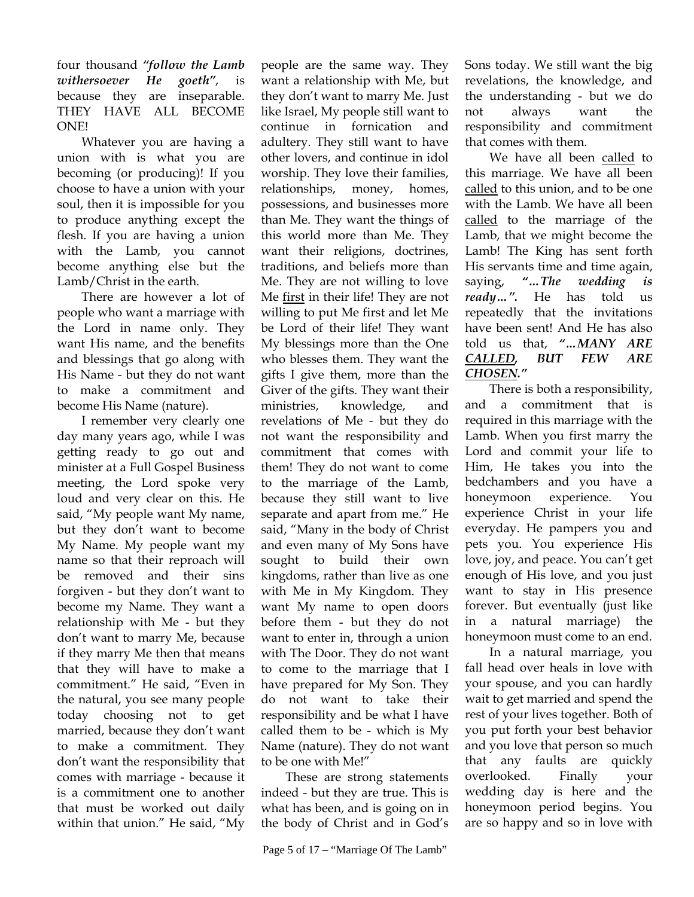four thousand *"follow the Lamb withersoever He goeth"*, is because they are inseparable. THEY HAVE ALL BECOME ONE!

Whatever you are having a union with is what you are becoming (or producing)! If you choose to have a union with your soul, then it is impossible for you to produce anything except the flesh. If you are having a union with the Lamb, you cannot become anything else but the Lamb/Christ in the earth.

There are however a lot of people who want a marriage with the Lord in name only. They want His name, and the benefits and blessings that go along with His Name - but they do not want to make a commitment and become His Name (nature).

I remember very clearly one day many years ago, while I was getting ready to go out and minister at a Full Gospel Business meeting, the Lord spoke very loud and very clear on this. He said, "My people want My name, but they don't want to become My Name. My people want my name so that their reproach will be removed and their sins forgiven - but they don't want to become my Name. They want a relationship with Me - but they don't want to marry Me, because if they marry Me then that means that they will have to make a commitment." He said, "Even in the natural, you see many people today choosing not to get married, because they don't want to make a commitment. They don't want the responsibility that comes with marriage - because it is a commitment one to another that must be worked out daily within that union." He said, "My

people are the same way. They want a relationship with Me, but they don't want to marry Me. Just like Israel, My people still want to continue in fornication and adultery. They still want to have other lovers, and continue in idol worship. They love their families, relationships, money, homes, possessions, and businesses more than Me. They want the things of this world more than Me. They want their religions, doctrines, traditions, and beliefs more than Me. They are not willing to love Me first in their life! They are not willing to put Me first and let Me be Lord of their life! They want My blessings more than the One who blesses them. They want the gifts I give them, more than the Giver of the gifts. They want their ministries, knowledge, and revelations of Me - but they do not want the responsibility and commitment that comes with them! They do not want to come to the marriage of the Lamb, because they still want to live separate and apart from me." He said, "Many in the body of Christ and even many of My Sons have sought to build their own kingdoms, rather than live as one with Me in My Kingdom. They want My name to open doors before them - but they do not want to enter in, through a union with The Door. They do not want to come to the marriage that I have prepared for My Son. They do not want to take their responsibility and be what I have called them to be - which is My Name (nature). They do not want to be one with Me!"

These are strong statements indeed - but they are true. This is what has been, and is going on in the body of Christ and in God's Sons today. We still want the big revelations, the knowledge, and the understanding - but we do not always want the responsibility and commitment that comes with them.

We have all been called to this marriage. We have all been called to this union, and to be one with the Lamb. We have all been called to the marriage of the Lamb, that we might become the Lamb! The King has sent forth His servants time and time again, saying, *"…The wedding is ready…".* He has told us repeatedly that the invitations have been sent! And He has also told us that, *"…MANY ARE CALLED, BUT FEW ARE CHOSEN."*

There is both a responsibility, and a commitment that is required in this marriage with the Lamb. When you first marry the Lord and commit your life to Him, He takes you into the bedchambers and you have a honeymoon experience. You experience Christ in your life everyday. He pampers you and pets you. You experience His love, joy, and peace. You can't get enough of His love, and you just want to stay in His presence forever. But eventually (just like in a natural marriage) the honeymoon must come to an end.

In a natural marriage, you fall head over heals in love with your spouse, and you can hardly wait to get married and spend the rest of your lives together. Both of you put forth your best behavior and you love that person so much that any faults are quickly overlooked. Finally your wedding day is here and the honeymoon period begins. You are so happy and so in love with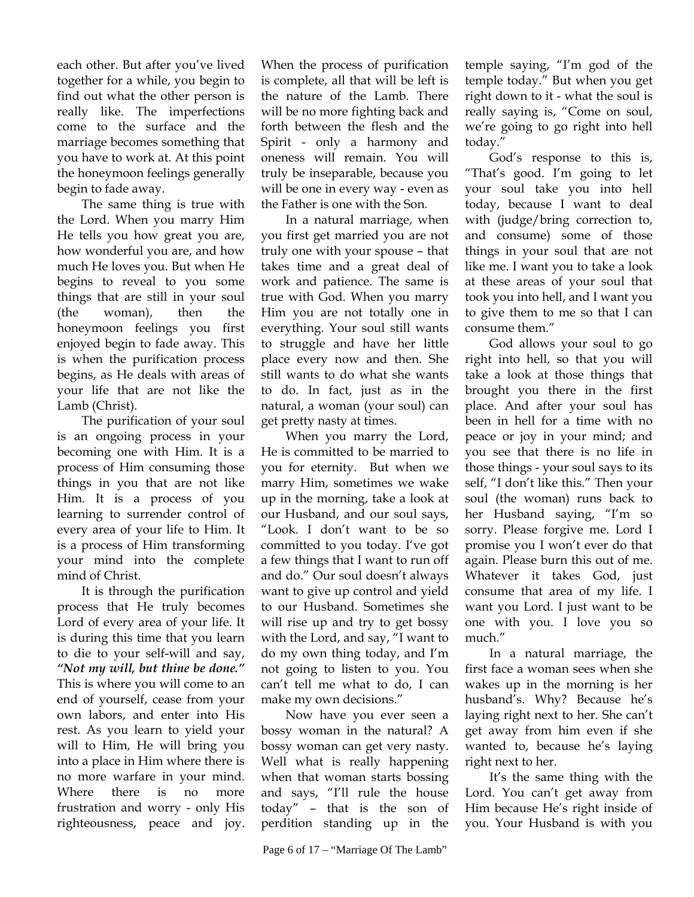each other. But after you've lived together for a while, you begin to find out what the other person is really like. The imperfections come to the surface and the marriage becomes something that you have to work at. At this point the honeymoon feelings generally begin to fade away.

The same thing is true with the Lord. When you marry Him He tells you how great you are, how wonderful you are, and how much He loves you. But when He begins to reveal to you some things that are still in your soul (the woman), then the honeymoon feelings you first enjoyed begin to fade away. This is when the purification process begins, as He deals with areas of your life that are not like the Lamb (Christ).

The purification of your soul is an ongoing process in your becoming one with Him. It is a process of Him consuming those things in you that are not like Him. It is a process of you learning to surrender control of every area of your life to Him. It is a process of Him transforming your mind into the complete mind of Christ.

It is through the purification process that He truly becomes Lord of every area of your life. It is during this time that you learn to die to your self-will and say, *"Not my will, but thine be done."* This is where you will come to an end of yourself, cease from your own labors, and enter into His rest. As you learn to yield your will to Him, He will bring you into a place in Him where there is no more warfare in your mind. Where there is no more frustration and worry - only His righteousness, peace and joy.

When the process of purification is complete, all that will be left is the nature of the Lamb. There will be no more fighting back and forth between the flesh and the Spirit - only a harmony and oneness will remain. You will truly be inseparable, because you will be one in every way - even as the Father is one with the Son.

In a natural marriage, when you first get married you are not truly one with your spouse – that takes time and a great deal of work and patience. The same is true with God. When you marry Him you are not totally one in everything. Your soul still wants to struggle and have her little place every now and then. She still wants to do what she wants to do. In fact, just as in the natural, a woman (your soul) can get pretty nasty at times.

When you marry the Lord, He is committed to be married to you for eternity. But when we marry Him, sometimes we wake up in the morning, take a look at our Husband, and our soul says, "Look. I don't want to be so committed to you today. I've got a few things that I want to run off and do." Our soul doesn't always want to give up control and yield to our Husband. Sometimes she will rise up and try to get bossy with the Lord, and say, "I want to do my own thing today, and I'm not going to listen to you. You can't tell me what to do, I can make my own decisions."

Now have you ever seen a bossy woman in the natural? A bossy woman can get very nasty. Well what is really happening when that woman starts bossing and says, "I'll rule the house today" – that is the son of perdition standing up in the

temple saying, "I'm god of the temple today." But when you get right down to it - what the soul is really saying is, "Come on soul, we're going to go right into hell today."

God's response to this is, "That's good. I'm going to let your soul take you into hell today, because I want to deal with (judge/bring correction to, and consume) some of those things in your soul that are not like me. I want you to take a look at these areas of your soul that took you into hell, and I want you to give them to me so that I can consume them."

God allows your soul to go right into hell, so that you will take a look at those things that brought you there in the first place. And after your soul has been in hell for a time with no peace or joy in your mind; and you see that there is no life in those things - your soul says to its self, "I don't like this." Then your soul (the woman) runs back to her Husband saying, "I'm so sorry. Please forgive me. Lord I promise you I won't ever do that again. Please burn this out of me. Whatever it takes God, just consume that area of my life. I want you Lord. I just want to be one with you. I love you so much."

In a natural marriage, the first face a woman sees when she wakes up in the morning is her husband's. Why? Because he's laying right next to her. She can't get away from him even if she wanted to, because he's laying right next to her.

It's the same thing with the Lord. You can't get away from Him because He's right inside of you. Your Husband is with you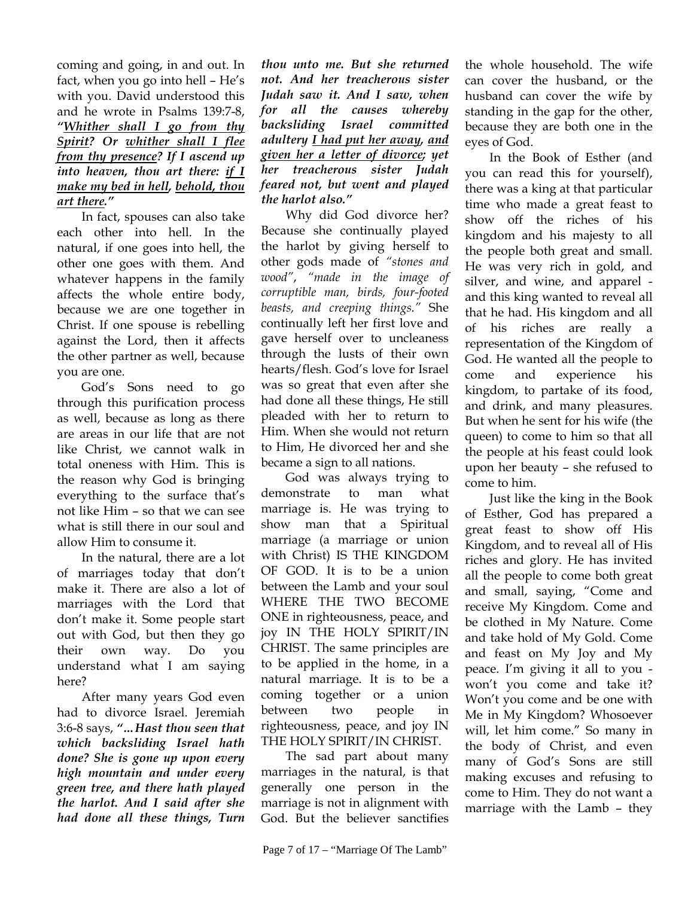coming and going, in and out. In fact, when you go into hell – He's with you. David understood this and he wrote in Psalms 139:7-8, *"Whither shall I go from thy Spirit? Or whither shall I flee from thy presence? If I ascend up into heaven, thou art there: if I make my bed in hell, behold, thou art there."* 

In fact, spouses can also take each other into hell. In the natural, if one goes into hell, the other one goes with them. And whatever happens in the family affects the whole entire body, because we are one together in Christ. If one spouse is rebelling against the Lord, then it affects the other partner as well, because you are one.

God's Sons need to go through this purification process as well, because as long as there are areas in our life that are not like Christ, we cannot walk in total oneness with Him. This is the reason why God is bringing everything to the surface that's not like Him – so that we can see what is still there in our soul and allow Him to consume it.

In the natural, there are a lot of marriages today that don't make it. There are also a lot of marriages with the Lord that don't make it. Some people start out with God, but then they go their own way. Do you understand what I am saying here?

After many years God even had to divorce Israel. Jeremiah 3:6-8 says, *"…Hast thou seen that which backsliding Israel hath done? She is gone up upon every high mountain and under every green tree, and there hath played the harlot. And I said after she had done all these things, Turn* 

*thou unto me. But she returned not. And her treacherous sister Judah saw it. And I saw, when for all the causes whereby backsliding Israel committed adultery I had put her away, and given her a letter of divorce; yet her treacherous sister Judah feared not, but went and played the harlot also."* 

Why did God divorce her? Because she continually played the harlot by giving herself to other gods made of *"stones and wood"*, *"made in the image of corruptible man, birds, four-footed beasts, and creeping things."* She continually left her first love and gave herself over to uncleaness through the lusts of their own hearts/flesh. God's love for Israel was so great that even after she had done all these things, He still pleaded with her to return to Him. When she would not return to Him, He divorced her and she became a sign to all nations.

God was always trying to demonstrate to man what marriage is. He was trying to show man that a Spiritual marriage (a marriage or union with Christ) IS THE KINGDOM OF GOD. It is to be a union between the Lamb and your soul WHERE THE TWO BECOME ONE in righteousness, peace, and joy IN THE HOLY SPIRIT/IN CHRIST. The same principles are to be applied in the home, in a natural marriage. It is to be a coming together or a union between two people in righteousness, peace, and joy IN THE HOLY SPIRIT/IN CHRIST.

The sad part about many marriages in the natural, is that generally one person in the marriage is not in alignment with God. But the believer sanctifies

the whole household. The wife can cover the husband, or the husband can cover the wife by standing in the gap for the other, because they are both one in the eyes of God.

In the Book of Esther (and you can read this for yourself), there was a king at that particular time who made a great feast to show off the riches of his kingdom and his majesty to all the people both great and small. He was very rich in gold, and silver, and wine, and apparel and this king wanted to reveal all that he had. His kingdom and all of his riches are really a representation of the Kingdom of God. He wanted all the people to come and experience his kingdom, to partake of its food, and drink, and many pleasures. But when he sent for his wife (the queen) to come to him so that all the people at his feast could look upon her beauty – she refused to come to him.

Just like the king in the Book of Esther, God has prepared a great feast to show off His Kingdom, and to reveal all of His riches and glory. He has invited all the people to come both great and small, saying, "Come and receive My Kingdom. Come and be clothed in My Nature. Come and take hold of My Gold. Come and feast on My Joy and My peace. I'm giving it all to you won't you come and take it? Won't you come and be one with Me in My Kingdom? Whosoever will, let him come." So many in the body of Christ, and even many of God's Sons are still making excuses and refusing to come to Him. They do not want a marriage with the Lamb – they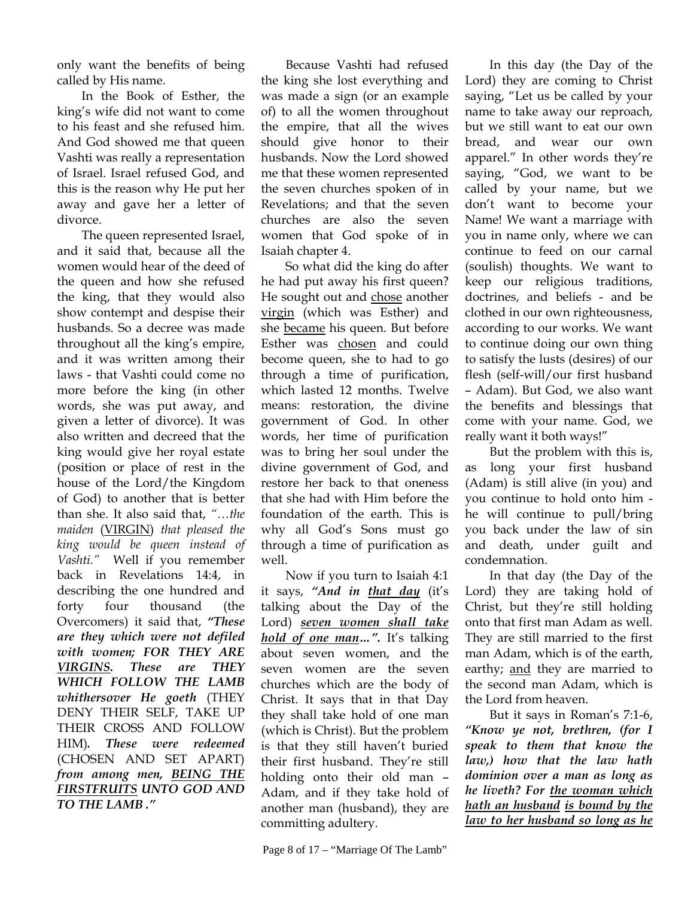only want the benefits of being called by His name.

In the Book of Esther, the king's wife did not want to come to his feast and she refused him. And God showed me that queen Vashti was really a representation of Israel. Israel refused God, and this is the reason why He put her away and gave her a letter of divorce.

The queen represented Israel, and it said that, because all the women would hear of the deed of the queen and how she refused the king, that they would also show contempt and despise their husbands. So a decree was made throughout all the king's empire, and it was written among their laws - that Vashti could come no more before the king (in other words, she was put away, and given a letter of divorce). It was also written and decreed that the king would give her royal estate (position or place of rest in the house of the Lord/the Kingdom of God) to another that is better than she. It also said that, *"…the maiden* (VIRGIN) *that pleased the king would be queen instead of Vashti."* Well if you remember back in Revelations 14:4, in describing the one hundred and forty four thousand (the Overcomers) it said that, *"These are they which were not defiled with women; FOR THEY ARE VIRGINS. These are THEY WHICH FOLLOW THE LAMB whithersover He goeth* (THEY DENY THEIR SELF, TAKE UP THEIR CROSS AND FOLLOW HIM)*. These were redeemed*  (CHOSEN AND SET APART) *from among men, BEING THE FIRSTFRUITS UNTO GOD AND TO THE LAMB ."* 

Because Vashti had refused the king she lost everything and was made a sign (or an example of) to all the women throughout the empire, that all the wives should give honor to their husbands. Now the Lord showed me that these women represented the seven churches spoken of in Revelations; and that the seven churches are also the seven women that God spoke of in Isaiah chapter 4.

So what did the king do after he had put away his first queen? He sought out and chose another virgin (which was Esther) and she became his queen. But before Esther was chosen and could become queen, she to had to go through a time of purification, which lasted 12 months. Twelve means: restoration, the divine government of God. In other words, her time of purification was to bring her soul under the divine government of God, and restore her back to that oneness that she had with Him before the foundation of the earth. This is why all God's Sons must go through a time of purification as well.

Now if you turn to Isaiah 4:1 it says, *"And in that day* (it's talking about the Day of the Lord) *seven women shall take hold of one man…".* It's talking about seven women, and the seven women are the seven churches which are the body of Christ. It says that in that Day they shall take hold of one man (which is Christ). But the problem is that they still haven't buried their first husband. They're still holding onto their old man – Adam, and if they take hold of another man (husband), they are committing adultery.

In this day (the Day of the Lord) they are coming to Christ saying, "Let us be called by your name to take away our reproach, but we still want to eat our own bread, and wear our own apparel." In other words they're saying, "God, we want to be called by your name, but we don't want to become your Name! We want a marriage with you in name only, where we can continue to feed on our carnal (soulish) thoughts. We want to keep our religious traditions, doctrines, and beliefs - and be clothed in our own righteousness, according to our works. We want to continue doing our own thing to satisfy the lusts (desires) of our flesh (self-will/our first husband – Adam). But God, we also want the benefits and blessings that come with your name. God, we really want it both ways!"

But the problem with this is, as long your first husband (Adam) is still alive (in you) and you continue to hold onto him he will continue to pull/bring you back under the law of sin and death, under guilt and condemnation.

In that day (the Day of the Lord) they are taking hold of Christ, but they're still holding onto that first man Adam as well. They are still married to the first man Adam, which is of the earth, earthy; and they are married to the second man Adam, which is the Lord from heaven.

But it says in Roman's 7:1-6, *"Know ye not, brethren, (for I speak to them that know the law,) how that the law hath dominion over a man as long as he liveth? For the woman which hath an husband is bound by the law to her husband so long as he*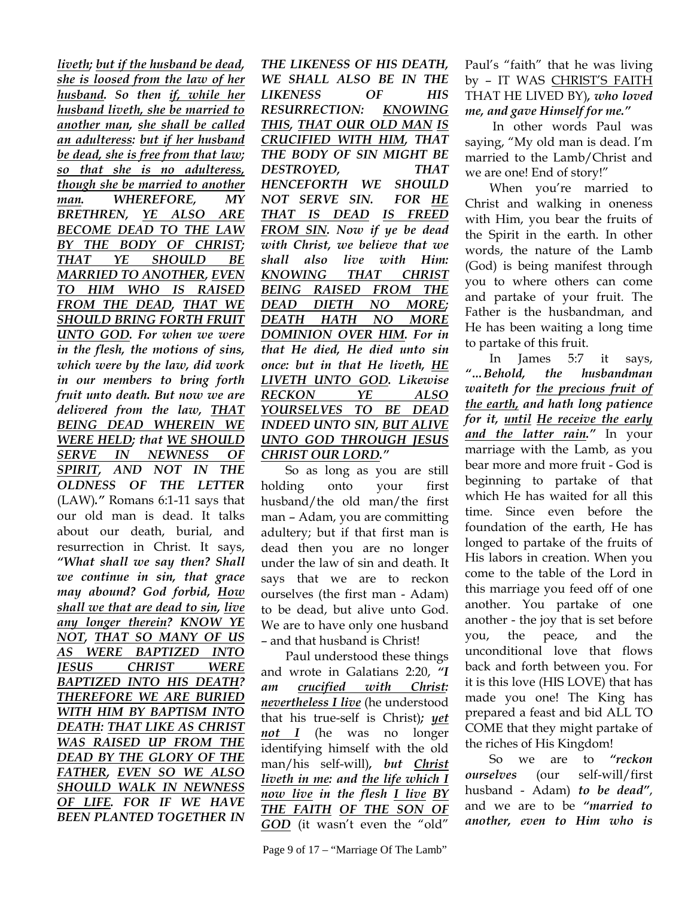*liveth; but if the husband be dead, she is loosed from the law of her husband. So then if, while her husband liveth, she be married to another man, she shall be called an adulteress: but if her husband be dead, she is free from that law; so that she is no adulteress, though she be married to another man. WHEREFORE, MY BRETHREN, YE ALSO ARE BECOME DEAD TO THE LAW BY THE BODY OF CHRIST; THAT YE SHOULD BE MARRIED TO ANOTHER, EVEN TO HIM WHO IS RAISED FROM THE DEAD, THAT WE SHOULD BRING FORTH FRUIT UNTO GOD. For when we were in the flesh, the motions of sins, which were by the law, did work in our members to bring forth fruit unto death. But now we are delivered from the law, THAT BEING DEAD WHEREIN WE WERE HELD; that WE SHOULD SERVE IN NEWNESS OF SPIRIT, AND NOT IN THE OLDNESS OF THE LETTER*  (LAW)*."* Romans 6:1-11 says that our old man is dead. It talks about our death, burial, and resurrection in Christ. It says, *"What shall we say then? Shall we continue in sin, that grace may abound? God forbid, How shall we that are dead to sin, live any longer therein? KNOW YE NOT, THAT SO MANY OF US AS WERE BAPTIZED INTO JESUS CHRIST WERE BAPTIZED INTO HIS DEATH? THEREFORE WE ARE BURIED WITH HIM BY BAPTISM INTO DEATH: THAT LIKE AS CHRIST WAS RAISED UP FROM THE DEAD BY THE GLORY OF THE FATHER, EVEN SO WE ALSO SHOULD WALK IN NEWNESS OF LIFE. FOR IF WE HAVE BEEN PLANTED TOGETHER IN* 

*THE LIKENESS OF HIS DEATH, WE SHALL ALSO BE IN THE LIKENESS OF HIS RESURRECTION: KNOWING THIS, THAT OUR OLD MAN IS CRUCIFIED WITH HIM, THAT THE BODY OF SIN MIGHT BE DESTROYED, THAT HENCEFORTH WE SHOULD NOT SERVE SIN. FOR HE THAT IS DEAD IS FREED FROM SIN. Now if ye be dead with Christ, we believe that we shall also live with Him: KNOWING THAT CHRIST BEING RAISED FROM THE DEAD DIETH NO MORE; DEATH HATH NO MORE DOMINION OVER HIM. For in that He died, He died unto sin once: but in that He liveth, HE LIVETH UNTO GOD. Likewise RECKON YE ALSO YOURSELVES TO BE DEAD INDEED UNTO SIN, BUT ALIVE UNTO GOD THROUGH JESUS CHRIST OUR LORD."*

So as long as you are still holding onto your first husband/the old man/the first man – Adam, you are committing adultery; but if that first man is dead then you are no longer under the law of sin and death. It says that we are to reckon ourselves (the first man - Adam) to be dead, but alive unto God. We are to have only one husband – and that husband is Christ!

Paul understood these things and wrote in Galatians 2:20, *"I am crucified with Christ: nevertheless I live* (he understood that his true-self is Christ)*; yet not I* (he was no longer identifying himself with the old man/his self-will)*, but Christ liveth in me: and the life which I now live in the flesh I live BY THE FAITH OF THE SON OF GOD* (it wasn't even the "old"

Paul's "faith" that he was living by – IT WAS CHRIST'S FAITH THAT HE LIVED BY)*, who loved me, and gave Himself for me."*

 In other words Paul was saying, "My old man is dead. I'm married to the Lamb/Christ and we are one! End of story!"

When you're married to Christ and walking in oneness with Him, you bear the fruits of the Spirit in the earth. In other words, the nature of the Lamb (God) is being manifest through you to where others can come and partake of your fruit. The Father is the husbandman, and He has been waiting a long time to partake of this fruit.

In James 5:7 it says, *"…Behold, the husbandman waiteth for the precious fruit of the earth, and hath long patience for it, until He receive the early and the latter rain."* In your marriage with the Lamb, as you bear more and more fruit - God is beginning to partake of that which He has waited for all this time. Since even before the foundation of the earth, He has longed to partake of the fruits of His labors in creation. When you come to the table of the Lord in this marriage you feed off of one another. You partake of one another - the joy that is set before you, the peace, and the unconditional love that flows back and forth between you. For it is this love (HIS LOVE) that has made you one! The King has prepared a feast and bid ALL TO COME that they might partake of the riches of His Kingdom!

So we are to *"reckon ourselves* (our self-will/first husband - Adam) *to be dead"*, and we are to be *"married to another, even to Him who is*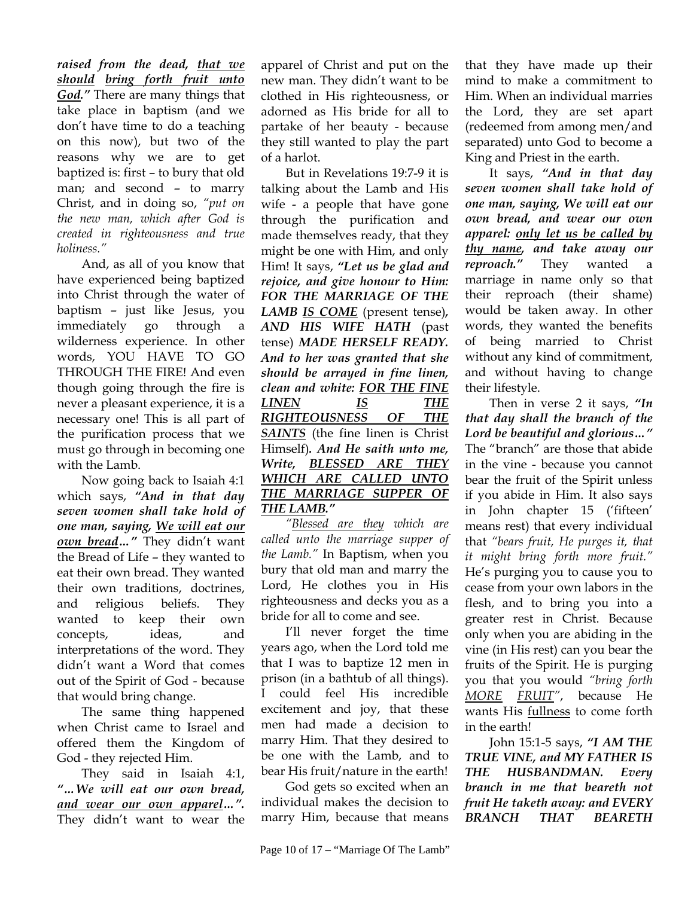*raised from the dead, that we should bring forth fruit unto God."* There are many things that take place in baptism (and we don't have time to do a teaching on this now), but two of the reasons why we are to get baptized is: first – to bury that old man; and second – to marry Christ, and in doing so, *"put on the new man, which after God is created in righteousness and true holiness."* 

And, as all of you know that have experienced being baptized into Christ through the water of baptism – just like Jesus, you immediately go through a wilderness experience. In other words, YOU HAVE TO GO THROUGH THE FIRE! And even though going through the fire is never a pleasant experience, it is a necessary one! This is all part of the purification process that we must go through in becoming one with the Lamb.

Now going back to Isaiah 4:1 which says, *"And in that day seven women shall take hold of one man, saying, We will eat our own bread…"* They didn't want the Bread of Life – they wanted to eat their own bread. They wanted their own traditions, doctrines, and religious beliefs. They wanted to keep their own concepts, ideas, and interpretations of the word. They didn't want a Word that comes out of the Spirit of God - because that would bring change.

The same thing happened when Christ came to Israel and offered them the Kingdom of God - they rejected Him.

They said in Isaiah 4:1, *"…We will eat our own bread, and wear our own apparel…".* They didn't want to wear the

apparel of Christ and put on the new man. They didn't want to be clothed in His righteousness, or adorned as His bride for all to partake of her beauty - because they still wanted to play the part of a harlot.

But in Revelations 19:7-9 it is talking about the Lamb and His wife - a people that have gone through the purification and made themselves ready, that they might be one with Him, and only Him! It says, *"Let us be glad and rejoice, and give honour to Him: FOR THE MARRIAGE OF THE LAMB IS COME* (present tense)*, AND HIS WIFE HATH* (past tense) *MADE HERSELF READY. And to her was granted that she should be arrayed in fine linen, clean and white: FOR THE FINE LINEN IS THE RIGHTEOUSNESS OF THE SAINTS* (the fine linen is Christ Himself)*. And He saith unto me, Write, BLESSED ARE THEY WHICH ARE CALLED UNTO THE MARRIAGE SUPPER OF THE LAMB."* 

*"Blessed are they which are called unto the marriage supper of the Lamb."* In Baptism, when you bury that old man and marry the Lord, He clothes you in His righteousness and decks you as a bride for all to come and see.

I'll never forget the time years ago, when the Lord told me that I was to baptize 12 men in prison (in a bathtub of all things). I could feel His incredible excitement and joy, that these men had made a decision to marry Him. That they desired to be one with the Lamb, and to bear His fruit/nature in the earth!

God gets so excited when an individual makes the decision to marry Him, because that means that they have made up their mind to make a commitment to Him. When an individual marries the Lord, they are set apart (redeemed from among men/and separated) unto God to become a King and Priest in the earth.

It says, *"And in that day seven women shall take hold of one man, saying, We will eat our own bread, and wear our own apparel: only let us be called by thy name, and take away our reproach."* They wanted a marriage in name only so that their reproach (their shame) would be taken away. In other words, they wanted the benefits of being married to Christ without any kind of commitment, and without having to change their lifestyle.

Then in verse 2 it says, *"In that day shall the branch of the Lord be beautiful and glorious…"* The "branch" are those that abide in the vine - because you cannot bear the fruit of the Spirit unless if you abide in Him. It also says in John chapter 15 ('fifteen' means rest) that every individual that *"bears fruit, He purges it, that it might bring forth more fruit."* He's purging you to cause you to cease from your own labors in the flesh, and to bring you into a greater rest in Christ. Because only when you are abiding in the vine (in His rest) can you bear the fruits of the Spirit. He is purging you that you would *"bring forth MORE FRUIT"*, because He wants His fullness to come forth in the earth!

John 15:1-5 says, *"I AM THE TRUE VINE, and MY FATHER IS THE HUSBANDMAN. Every branch in me that beareth not fruit He taketh away: and EVERY BRANCH THAT BEARETH*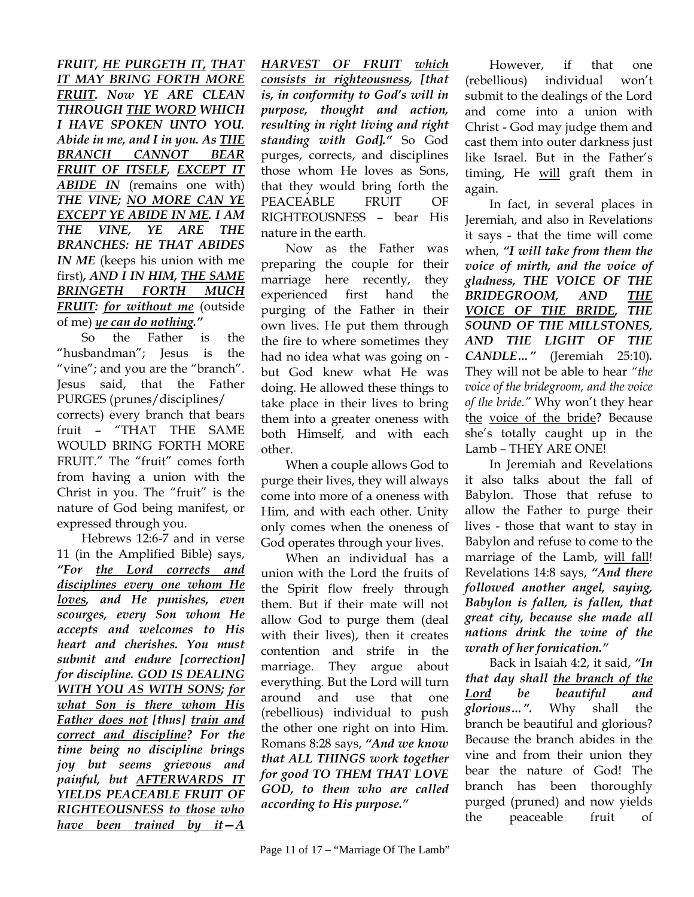*FRUIT, HE PURGETH IT, THAT IT MAY BRING FORTH MORE FRUIT. Now YE ARE CLEAN THROUGH THE WORD WHICH I HAVE SPOKEN UNTO YOU. Abide in me, and I in you. As THE BRANCH CANNOT BEAR FRUIT OF ITSELF, EXCEPT IT ABIDE IN* (remains one with) *THE VINE; NO MORE CAN YE EXCEPT YE ABIDE IN ME. I AM THE VINE, YE ARE THE BRANCHES: HE THAT ABIDES IN ME* (keeps his union with me first)*, AND I IN HIM, THE SAME BRINGETH FORTH MUCH FRUIT: for without me* (outside of me) *ye can do nothing."* 

So the Father is the "husbandman"; Jesus is the "vine"; and you are the "branch". Jesus said, that the Father PURGES (prunes/disciplines/ corrects) every branch that bears fruit – "THAT THE SAME WOULD BRING FORTH MORE FRUIT." The "fruit" comes forth from having a union with the Christ in you. The "fruit" is the nature of God being manifest, or expressed through you.

Hebrews 12:6-7 and in verse 11 (in the Amplified Bible) says, *"For the Lord corrects and disciplines every one whom He loves, and He punishes, even scourges, every Son whom He accepts and welcomes to His heart and cherishes. You must submit and endure [correction] for discipline. GOD IS DEALING WITH YOU AS WITH SONS; for what Son is there whom His Father does not [thus] train and correct and discipline? For the time being no discipline brings joy but seems grievous and painful, but AFTERWARDS IT YIELDS PEACEABLE FRUIT OF RIGHTEOUSNESS to those who have been trained by it—A*  *HARVEST OF FRUIT which consists in righteousness, [that is, in conformity to God's will in purpose, thought and action, resulting in right living and right standing with God]."* So God purges, corrects, and disciplines those whom He loves as Sons, that they would bring forth the PEACEABLE FRUIT OF RIGHTEOUSNESS – bear His nature in the earth.

Now as the Father was preparing the couple for their marriage here recently, they experienced first hand the purging of the Father in their own lives. He put them through the fire to where sometimes they had no idea what was going on but God knew what He was doing. He allowed these things to take place in their lives to bring them into a greater oneness with both Himself, and with each other.

When a couple allows God to purge their lives, they will always come into more of a oneness with Him, and with each other. Unity only comes when the oneness of God operates through your lives.

When an individual has a union with the Lord the fruits of the Spirit flow freely through them. But if their mate will not allow God to purge them (deal with their lives), then it creates contention and strife in the marriage. They argue about everything. But the Lord will turn around and use that one (rebellious) individual to push the other one right on into Him. Romans 8:28 says, *"And we know that ALL THINGS work together for good TO THEM THAT LOVE GOD, to them who are called according to His purpose."* 

However, if that one (rebellious) individual won't submit to the dealings of the Lord and come into a union with Christ - God may judge them and cast them into outer darkness just like Israel. But in the Father's timing, He will graft them in again.

In fact, in several places in Jeremiah, and also in Revelations it says - that the time will come when, *"I will take from them the voice of mirth, and the voice of gladness, THE VOICE OF THE BRIDEGROOM, AND THE VOICE OF THE BRIDE, THE SOUND OF THE MILLSTONES, AND THE LIGHT OF THE CANDLE…"* (Jeremiah 25:10)*.*  They will not be able to hear *"the voice of the bridegroom, and the voice of the bride."* Why won't they hear the voice of the bride? Because she's totally caught up in the Lamb – THEY ARE ONE!

In Jeremiah and Revelations it also talks about the fall of Babylon. Those that refuse to allow the Father to purge their lives - those that want to stay in Babylon and refuse to come to the marriage of the Lamb, will fall! Revelations 14:8 says, *"And there followed another angel, saying, Babylon is fallen, is fallen, that great city, because she made all nations drink the wine of the wrath of her fornication."*

Back in Isaiah 4:2, it said, *"In that day shall the branch of the Lord be beautiful and glorious…".* Why shall the branch be beautiful and glorious? Because the branch abides in the vine and from their union they bear the nature of God! The branch has been thoroughly purged (pruned) and now yields the peaceable fruit of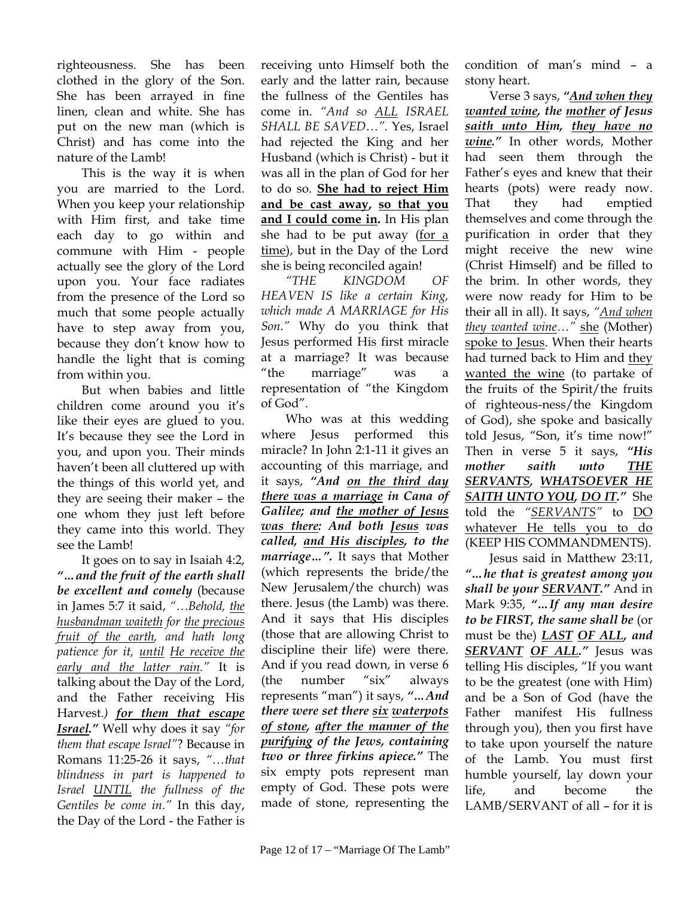righteousness. She has been clothed in the glory of the Son. She has been arrayed in fine linen, clean and white. She has put on the new man (which is Christ) and has come into the nature of the Lamb!

This is the way it is when you are married to the Lord. When you keep your relationship with Him first, and take time each day to go within and commune with Him - people actually see the glory of the Lord upon you. Your face radiates from the presence of the Lord so much that some people actually have to step away from you, because they don't know how to handle the light that is coming from within you.

But when babies and little children come around you it's like their eyes are glued to you. It's because they see the Lord in you, and upon you. Their minds haven't been all cluttered up with the things of this world yet, and they are seeing their maker – the one whom they just left before they came into this world. They see the Lamb!

It goes on to say in Isaiah 4:2, *"…and the fruit of the earth shall be excellent and comely* (because in James 5:7 it said, *"…Behold, the husbandman waiteth for the precious fruit of the earth, and hath long patience for it, until He receive the early and the latter rain."* It is talking about the Day of the Lord, and the Father receiving His Harvest.*) for them that escape Israel."* Well why does it say *"for them that escape Israel"*? Because in Romans 11:25-26 it says, *"…that blindness in part is happened to Israel UNTIL the fullness of the Gentiles be come in."* In this day, the Day of the Lord - the Father is receiving unto Himself both the early and the latter rain, because the fullness of the Gentiles has come in. *"And so ALL ISRAEL SHALL BE SAVED…".* Yes, Israel had rejected the King and her Husband (which is Christ) - but it was all in the plan of God for her to do so. **She had to reject Him and be cast away, so that you and I could come in.** In His plan she had to be put away (for a time), but in the Day of the Lord she is being reconciled again!

*"THE KINGDOM OF HEAVEN IS like a certain King, which made A MARRIAGE for His Son."* Why do you think that Jesus performed His first miracle at a marriage? It was because "the marriage" was representation of "the Kingdom of God".

Who was at this wedding where Jesus performed this miracle? In John 2:1-11 it gives an accounting of this marriage, and it says, *"And on the third day there was a marriage in Cana of Galilee; and the mother of Jesus was there: And both Jesus was called, and His disciples, to the marriage…".* It says that Mother (which represents the bride/the New Jerusalem/the church) was there. Jesus (the Lamb) was there. And it says that His disciples (those that are allowing Christ to discipline their life) were there. And if you read down, in verse 6 (the number "six" always represents "man") it says, *"…And there were set there six waterpots of stone, after the manner of the purifying of the Jews, containing two or three firkins apiece."* The six empty pots represent man empty of God. These pots were made of stone, representing the

condition of man's mind – a stony heart.

Verse 3 says, *"And when they wanted wine, the mother of Jesus saith unto Him, they have no wine."* In other words, Mother had seen them through the Father's eyes and knew that their hearts (pots) were ready now. That they had emptied themselves and come through the purification in order that they might receive the new wine (Christ Himself) and be filled to the brim. In other words, they were now ready for Him to be their all in all). It says, *"And when they wanted wine…"* she (Mother) spoke to Jesus. When their hearts had turned back to Him and they wanted the wine (to partake of the fruits of the Spirit/the fruits of righteous-ness/the Kingdom of God), she spoke and basically told Jesus, "Son, it's time now!" Then in verse 5 it says, *"His mother saith unto THE SERVANTS, WHATSOEVER HE SAITH UNTO YOU, DO IT."* She told the *"SERVANTS"* to DO whatever He tells you to do (KEEP HIS COMMANDMENTS).

Jesus said in Matthew 23:11, *"…he that is greatest among you shall be your SERVANT."* And in Mark 9:35, *"…If any man desire to be FIRST, the same shall be* (or must be the) *LAST OF ALL, and SERVANT OF ALL."* Jesus was telling His disciples, "If you want to be the greatest (one with Him) and be a Son of God (have the Father manifest His fullness through you), then you first have to take upon yourself the nature of the Lamb. You must first humble yourself, lay down your life, and become the LAMB/SERVANT of all – for it is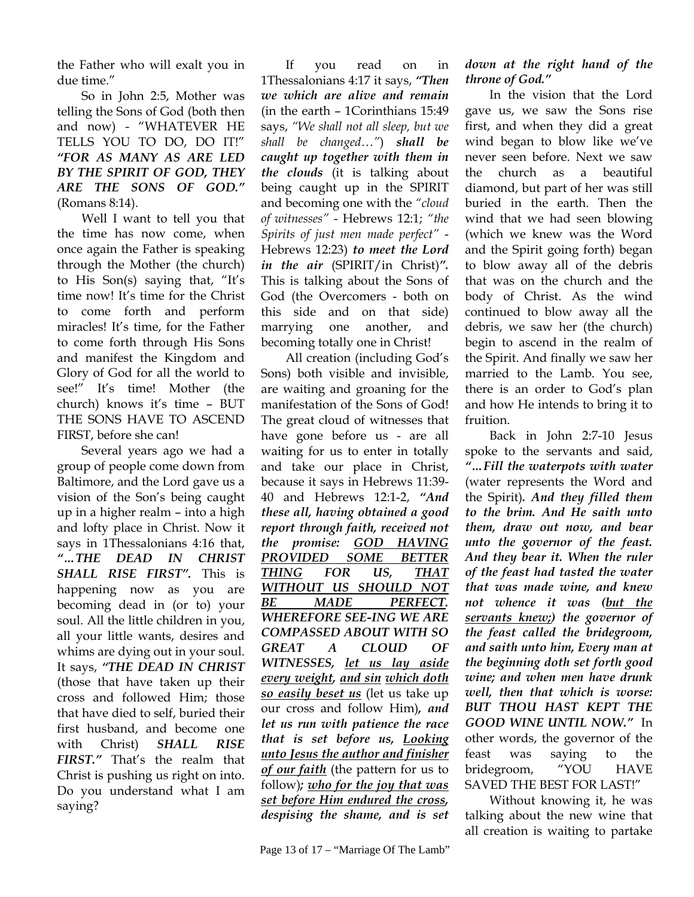the Father who will exalt you in due time."

So in John 2:5, Mother was telling the Sons of God (both then and now) - "WHATEVER HE TELLS YOU TO DO, DO IT!" *"FOR AS MANY AS ARE LED BY THE SPIRIT OF GOD, THEY ARE THE SONS OF GOD."*  (Romans 8:14).

Well I want to tell you that the time has now come, when once again the Father is speaking through the Mother (the church) to His Son(s) saying that, "It's time now! It's time for the Christ to come forth and perform miracles! It's time, for the Father to come forth through His Sons and manifest the Kingdom and Glory of God for all the world to see!" It's time! Mother (the church) knows it's time – BUT THE SONS HAVE TO ASCEND FIRST, before she can!

Several years ago we had a group of people come down from Baltimore, and the Lord gave us a vision of the Son's being caught up in a higher realm – into a high and lofty place in Christ. Now it says in 1Thessalonians 4:16 that, *"…THE DEAD IN CHRIST SHALL RISE FIRST".* This is happening now as you are becoming dead in (or to) your soul. All the little children in you, all your little wants, desires and whims are dying out in your soul. It says, *"THE DEAD IN CHRIST*  (those that have taken up their cross and followed Him; those that have died to self, buried their first husband, and become one with Christ) *SHALL RISE FIRST."* That's the realm that Christ is pushing us right on into. Do you understand what I am saying?

If you read on in 1Thessalonians 4:17 it says, *"Then we which are alive and remain*  (in the earth – 1Corinthians 15:49 says, *"We shall not all sleep, but we shall be changed…"*) *shall be caught up together with them in the clouds* (it is talking about being caught up in the SPIRIT and becoming one with the *"cloud of witnesses"* - Hebrews 12:1; *"the Spirits of just men made perfect"* - Hebrews 12:23) *to meet the Lord in the air* (SPIRIT/in Christ)*".*  This is talking about the Sons of God (the Overcomers - both on this side and on that side) marrying one another, and becoming totally one in Christ!

All creation (including God's Sons) both visible and invisible, are waiting and groaning for the manifestation of the Sons of God! The great cloud of witnesses that have gone before us - are all waiting for us to enter in totally and take our place in Christ, because it says in Hebrews 11:39- 40 and Hebrews 12:1-2, *"And these all, having obtained a good report through faith, received not the promise: GOD HAVING PROVIDED SOME BETTER THING FOR US, THAT WITHOUT US SHOULD NOT BE MADE PERFECT. WHEREFORE SEE-ING WE ARE COMPASSED ABOUT WITH SO GREAT A CLOUD OF WITNESSES, let us lay aside every weight, and sin which doth so easily beset us* (let us take up our cross and follow Him)*, and let us run with patience the race that is set before us, Looking unto Jesus the author and finisher of our faith* (the pattern for us to follow)*; who for the joy that was set before Him endured the cross, despising the shame, and is set* 

*down at the right hand of the throne of God."* 

In the vision that the Lord gave us, we saw the Sons rise first, and when they did a great wind began to blow like we've never seen before. Next we saw the church as a beautiful diamond, but part of her was still buried in the earth. Then the wind that we had seen blowing (which we knew was the Word and the Spirit going forth) began to blow away all of the debris that was on the church and the body of Christ. As the wind continued to blow away all the debris, we saw her (the church) begin to ascend in the realm of the Spirit. And finally we saw her married to the Lamb. You see, there is an order to God's plan and how He intends to bring it to fruition.

Back in John 2:7-10 Jesus spoke to the servants and said, *"…Fill the waterpots with water*  (water represents the Word and the Spirit)*. And they filled them to the brim. And He saith unto them, draw out now, and bear unto the governor of the feast. And they bear it. When the ruler of the feast had tasted the water that was made wine, and knew not whence it was (but the servants knew;) the governor of the feast called the bridegroom, and saith unto him, Every man at the beginning doth set forth good wine; and when men have drunk well, then that which is worse: BUT THOU HAST KEPT THE GOOD WINE UNTIL NOW."* In other words, the governor of the feast was saying to the bridegroom, "YOU HAVE SAVED THE BEST FOR LAST!"

Without knowing it, he was talking about the new wine that all creation is waiting to partake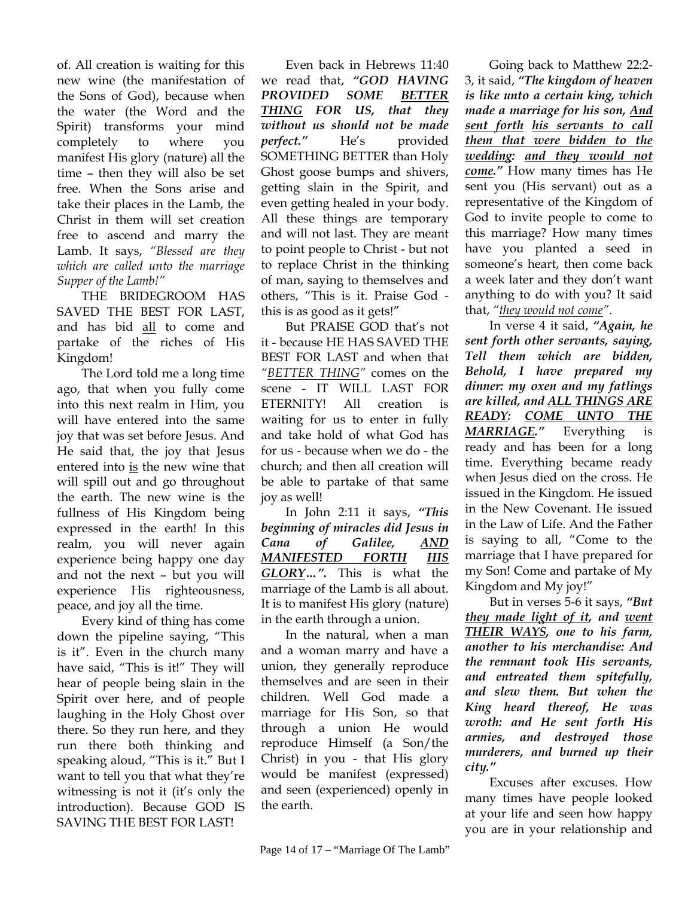of. All creation is waiting for this new wine (the manifestation of the Sons of God), because when the water (the Word and the Spirit) transforms your mind completely to where you manifest His glory (nature) all the time – then they will also be set free. When the Sons arise and take their places in the Lamb, the Christ in them will set creation free to ascend and marry the Lamb. It says, *"Blessed are they which are called unto the marriage Supper of the Lamb!"*

THE BRIDEGROOM HAS SAVED THE BEST FOR LAST, and has bid all to come and partake of the riches of His Kingdom!

The Lord told me a long time ago, that when you fully come into this next realm in Him, you will have entered into the same joy that was set before Jesus. And He said that, the joy that Jesus entered into is the new wine that will spill out and go throughout the earth. The new wine is the fullness of His Kingdom being expressed in the earth! In this realm, you will never again experience being happy one day and not the next – but you will experience His righteousness, peace, and joy all the time.

Every kind of thing has come down the pipeline saying, "This is it". Even in the church many have said, "This is it!" They will hear of people being slain in the Spirit over here, and of people laughing in the Holy Ghost over there. So they run here, and they run there both thinking and speaking aloud, "This is it." But I want to tell you that what they're witnessing is not it (it's only the introduction). Because GOD IS SAVING THE BEST FOR LAST!

Even back in Hebrews 11:40 we read that, *"GOD HAVING PROVIDED SOME BETTER THING FOR US, that they without us should not be made perfect."* He's provided SOMETHING BETTER than Holy Ghost goose bumps and shivers, getting slain in the Spirit, and even getting healed in your body. All these things are temporary and will not last. They are meant to point people to Christ - but not to replace Christ in the thinking of man, saying to themselves and others, "This is it. Praise God this is as good as it gets!"

But PRAISE GOD that's not it - because HE HAS SAVED THE BEST FOR LAST and when that *"BETTER THING"* comes on the scene - IT WILL LAST FOR ETERNITY! All creation is waiting for us to enter in fully and take hold of what God has for us - because when we do - the church; and then all creation will be able to partake of that same joy as well!

In John 2:11 it says, *"This beginning of miracles did Jesus in Cana of Galilee, AND MANIFESTED FORTH HIS GLORY…".* This is what the marriage of the Lamb is all about. It is to manifest His glory (nature) in the earth through a union.

In the natural, when a man and a woman marry and have a union, they generally reproduce themselves and are seen in their children. Well God made a marriage for His Son, so that through a union He would reproduce Himself (a Son/the Christ) in you - that His glory would be manifest (expressed) and seen (experienced) openly in the earth.

Going back to Matthew 22:2- 3, it said, *"The kingdom of heaven is like unto a certain king, which made a marriage for his son, And sent forth his servants to call them that were bidden to the wedding: and they would not come."* How many times has He sent you (His servant) out as a representative of the Kingdom of God to invite people to come to this marriage? How many times have you planted a seed in someone's heart, then come back a week later and they don't want anything to do with you? It said that, *"they would not come"*.

In verse 4 it said, *"Again, he sent forth other servants, saying, Tell them which are bidden, Behold, I have prepared my dinner: my oxen and my fatlings are killed, and ALL THINGS ARE READY: COME UNTO THE MARRIAGE."* Everything is ready and has been for a long time. Everything became ready when Jesus died on the cross. He issued in the Kingdom. He issued in the New Covenant. He issued in the Law of Life. And the Father is saying to all, "Come to the marriage that I have prepared for my Son! Come and partake of My Kingdom and My joy!"

But in verses 5-6 it says, *"But they made light of it, and went THEIR WAYS, one to his farm, another to his merchandise: And the remnant took His servants, and entreated them spitefully, and slew them. But when the King heard thereof, He was wroth: and He sent forth His armies, and destroyed those murderers, and burned up their city."* 

Excuses after excuses. How many times have people looked at your life and seen how happy you are in your relationship and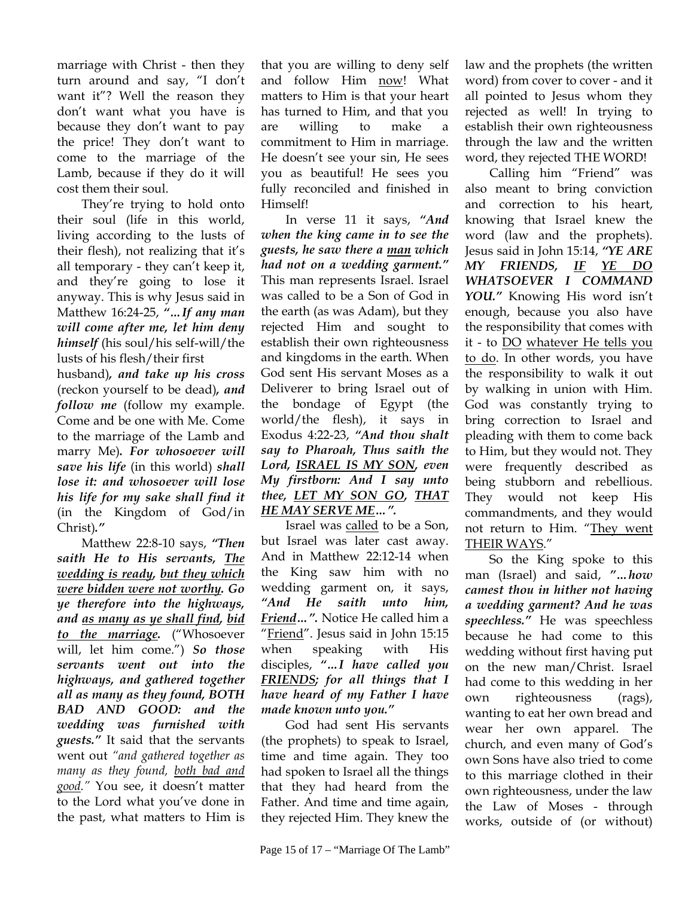marriage with Christ - then they turn around and say, "I don't want it"? Well the reason they don't want what you have is because they don't want to pay the price! They don't want to come to the marriage of the Lamb, because if they do it will cost them their soul.

They're trying to hold onto their soul (life in this world, living according to the lusts of their flesh), not realizing that it's all temporary - they can't keep it, and they're going to lose it anyway. This is why Jesus said in Matthew 16:24-25, *"…If any man will come after me, let him deny himself* (his soul/his self-will/the lusts of his flesh/their first

husband)*, and take up his cross*  (reckon yourself to be dead)*, and follow me* (follow my example. Come and be one with Me. Come to the marriage of the Lamb and marry Me)*. For whosoever will save his life* (in this world) *shall lose it: and whosoever will lose his life for my sake shall find it*  (in the Kingdom of God/in Christ)*."* 

Matthew 22:8-10 says, *"Then saith He to His servants, The wedding is ready, but they which were bidden were not worthy. Go ye therefore into the highways, and as many as ye shall find, bid to the marriage.* ("Whosoever will, let him come.") *So those servants went out into the highways, and gathered together all as many as they found, BOTH BAD AND GOOD: and the wedding was furnished with guests."* It said that the servants went out *"and gathered together as many as they found, both bad and good."* You see, it doesn't matter to the Lord what you've done in the past, what matters to Him is

that you are willing to deny self and follow Him now! What matters to Him is that your heart has turned to Him, and that you are willing to make a commitment to Him in marriage. He doesn't see your sin, He sees you as beautiful! He sees you fully reconciled and finished in Himself!

In verse 11 it says, *"And when the king came in to see the guests, he saw there a man which had not on a wedding garment."* This man represents Israel. Israel was called to be a Son of God in the earth (as was Adam), but they rejected Him and sought to establish their own righteousness and kingdoms in the earth. When God sent His servant Moses as a Deliverer to bring Israel out of the bondage of Egypt (the world/the flesh), it says in Exodus 4:22-23, *"And thou shalt say to Pharoah, Thus saith the Lord, ISRAEL IS MY SON, even My firstborn: And I say unto thee, LET MY SON GO, THAT HE MAY SERVE ME…".* 

Israel was called to be a Son, but Israel was later cast away. And in Matthew 22:12-14 when the King saw him with no wedding garment on, it says, *"And He saith unto him, Friend…".* Notice He called him a "Friend". Jesus said in John 15:15 when speaking with His disciples, *"…I have called you FRIENDS; for all things that I have heard of my Father I have made known unto you."*

God had sent His servants (the prophets) to speak to Israel, time and time again. They too had spoken to Israel all the things that they had heard from the Father. And time and time again, they rejected Him. They knew the

law and the prophets (the written word) from cover to cover - and it all pointed to Jesus whom they rejected as well! In trying to establish their own righteousness through the law and the written word, they rejected THE WORD!

Calling him "Friend" was also meant to bring conviction and correction to his heart, knowing that Israel knew the word (law and the prophets). Jesus said in John 15:14, *"YE ARE MY FRIENDS, IF YE DO WHATSOEVER I COMMAND YOU."* Knowing His word isn't enough, because you also have the responsibility that comes with it - to DO whatever He tells you to do. In other words, you have the responsibility to walk it out by walking in union with Him. God was constantly trying to bring correction to Israel and pleading with them to come back to Him, but they would not. They were frequently described as being stubborn and rebellious. They would not keep His commandments, and they would not return to Him. "They went THEIR WAYS."

So the King spoke to this man (Israel) and said, *"…how camest thou in hither not having a wedding garment? And he was speechless."* He was speechless because he had come to this wedding without first having put on the new man/Christ. Israel had come to this wedding in her own righteousness (rags), wanting to eat her own bread and wear her own apparel. The church, and even many of God's own Sons have also tried to come to this marriage clothed in their own righteousness, under the law the Law of Moses - through works, outside of (or without)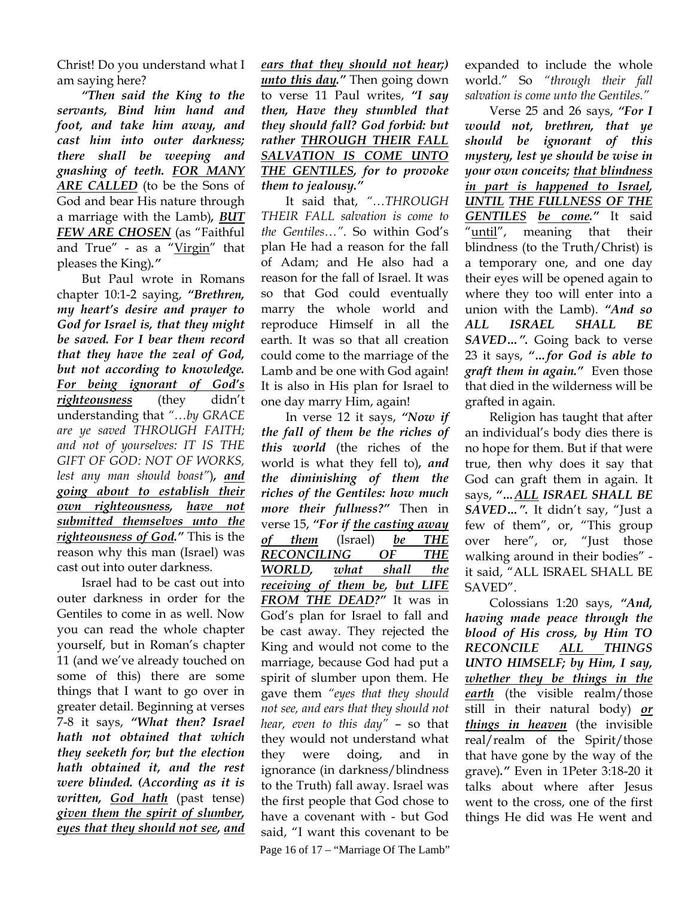Christ! Do you understand what I am saying here?

*"Then said the King to the servants, Bind him hand and foot, and take him away, and cast him into outer darkness; there shall be weeping and gnashing of teeth. FOR MANY ARE CALLED* (to be the Sons of God and bear His nature through a marriage with the Lamb)*, BUT FEW ARE CHOSEN* (as "Faithful and True" - as a "Virgin" that pleases the King)*."*

But Paul wrote in Romans chapter 10:1-2 saying, *"Brethren, my heart's desire and prayer to God for Israel is, that they might be saved. For I bear them record that they have the zeal of God, but not according to knowledge. For being ignorant of God's righteousness* (they didn't understanding that *"…by GRACE are ye saved THROUGH FAITH; and not of yourselves: IT IS THE GIFT OF GOD: NOT OF WORKS, lest any man should boast"*)*, and going about to establish their own righteousness, have not submitted themselves unto the righteousness of God."* This is the reason why this man (Israel) was cast out into outer darkness.

Israel had to be cast out into outer darkness in order for the Gentiles to come in as well. Now you can read the whole chapter yourself, but in Roman's chapter 11 (and we've already touched on some of this) there are some things that I want to go over in greater detail. Beginning at verses 7-8 it says, *"What then? Israel hath not obtained that which they seeketh for; but the election hath obtained it, and the rest were blinded. (According as it is written, God hath* (past tense) *given them the spirit of slumber, eyes that they should not see, and* 

*ears that they should not hear;) unto this day."* Then going down to verse 11 Paul writes, *"I say then, Have they stumbled that they should fall? God forbid: but rather THROUGH THEIR FALL SALVATION IS COME UNTO THE GENTILES, for to provoke them to jealousy."* 

It said that, *"…THROUGH THEIR FALL salvation is come to the Gentiles…"*. So within God's plan He had a reason for the fall of Adam; and He also had a reason for the fall of Israel. It was so that God could eventually marry the whole world and reproduce Himself in all the earth. It was so that all creation could come to the marriage of the Lamb and be one with God again! It is also in His plan for Israel to one day marry Him, again!

Page 16 of 17 – "Marriage Of The Lamb" In verse 12 it says, *"Now if the fall of them be the riches of this world* (the riches of the world is what they fell to)*, and the diminishing of them the riches of the Gentiles: how much more their fullness?"* Then in verse 15, *"For if the casting away of them* (Israel) *be THE RECONCILING OF THE WORLD, what shall the receiving of them be, but LIFE FROM THE DEAD?"* It was in God's plan for Israel to fall and be cast away. They rejected the King and would not come to the marriage, because God had put a spirit of slumber upon them. He gave them *"eyes that they should not see, and ears that they should not hear, even to this day"* – so that they would not understand what they were doing, and in ignorance (in darkness/blindness to the Truth) fall away. Israel was the first people that God chose to have a covenant with - but God said, "I want this covenant to be

expanded to include the whole world." So *"through their fall salvation is come unto the Gentiles."*

Verse 25 and 26 says, *"For I would not, brethren, that ye should be ignorant of this mystery, lest ye should be wise in your own conceits; that blindness in part is happened to Israel, UNTIL THE FULLNESS OF THE GENTILES be come."* It said "until", meaning that their blindness (to the Truth/Christ) is a temporary one, and one day their eyes will be opened again to where they too will enter into a union with the Lamb). *"And so ALL ISRAEL SHALL BE SAVED…".* Going back to verse 23 it says, *"…for God is able to graft them in again."* Even those that died in the wilderness will be grafted in again.

Religion has taught that after an individual's body dies there is no hope for them. But if that were true, then why does it say that God can graft them in again. It says, *"…ALL ISRAEL SHALL BE SAVED…".* It didn't say, "Just a few of them", or, "This group over here", or, "Just those walking around in their bodies" it said, "ALL ISRAEL SHALL BE SAVED".

Colossians 1:20 says, *"And, having made peace through the blood of His cross, by Him TO RECONCILE ALL THINGS UNTO HIMSELF; by Him, I say, whether they be things in the earth* (the visible realm/those still in their natural body) *or things in heaven* (the invisible real/realm of the Spirit/those that have gone by the way of the grave)*."* Even in 1Peter 3:18-20 it talks about where after Jesus went to the cross, one of the first things He did was He went and